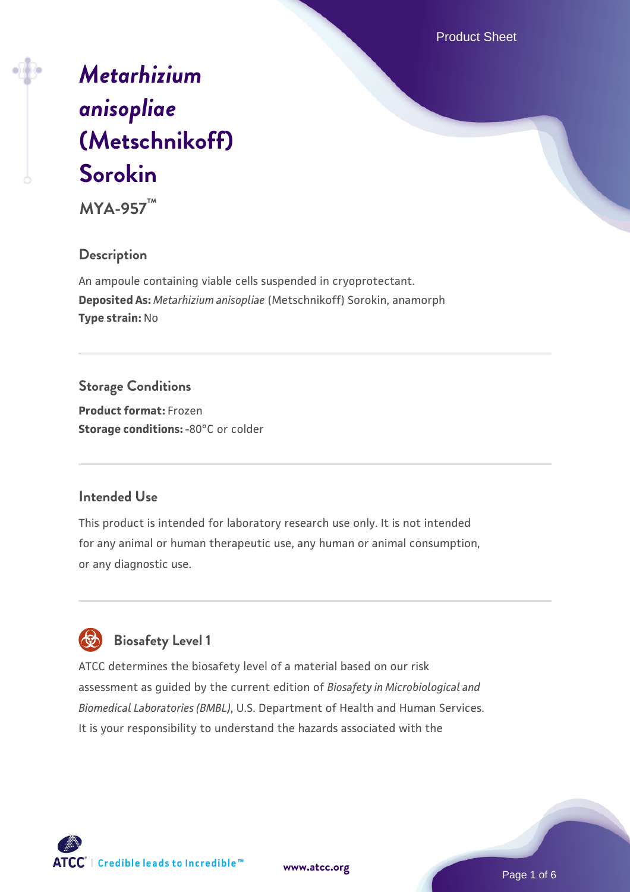Product Sheet

# *[Metarhizium](https://www.atcc.org/products/mya-957) [anisopliae](https://www.atcc.org/products/mya-957)* **[\(Metschnikoff\)](https://www.atcc.org/products/mya-957) [Sorokin](https://www.atcc.org/products/mya-957)**

**MYA-957™**

## **Description**

An ampoule containing viable cells suspended in cryoprotectant. **Deposited As:** *Metarhizium anisopliae* (Metschnikoff) Sorokin, anamorph **Type strain:** No

## **Storage Conditions**

**Product format:** Frozen **Storage conditions: -80°C or colder** 

## **Intended Use**

This product is intended for laboratory research use only. It is not intended for any animal or human therapeutic use, any human or animal consumption, or any diagnostic use.



## **Biosafety Level 1**

ATCC determines the biosafety level of a material based on our risk assessment as guided by the current edition of *Biosafety in Microbiological and Biomedical Laboratories (BMBL)*, U.S. Department of Health and Human Services. It is your responsibility to understand the hazards associated with the

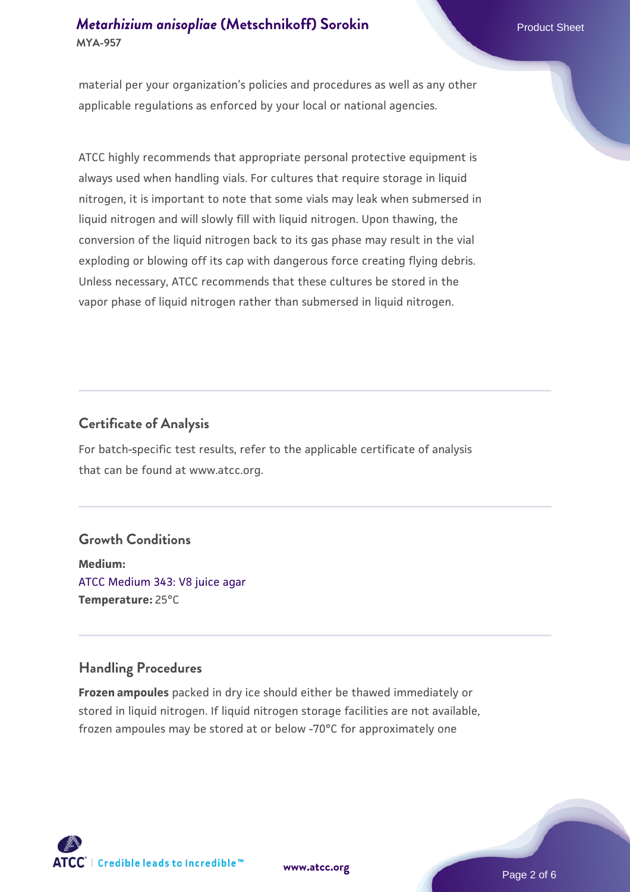## *[Metarhizium anisopliae](https://www.atcc.org/products/mya-957)* [\(Metschnikoff\) Sorokin](https://www.atcc.org/products/mya-957) **MYA-957**

material per your organization's policies and procedures as well as any other applicable regulations as enforced by your local or national agencies.

ATCC highly recommends that appropriate personal protective equipment is always used when handling vials. For cultures that require storage in liquid nitrogen, it is important to note that some vials may leak when submersed in liquid nitrogen and will slowly fill with liquid nitrogen. Upon thawing, the conversion of the liquid nitrogen back to its gas phase may result in the vial exploding or blowing off its cap with dangerous force creating flying debris. Unless necessary, ATCC recommends that these cultures be stored in the vapor phase of liquid nitrogen rather than submersed in liquid nitrogen.

## **Certificate of Analysis**

For batch-specific test results, refer to the applicable certificate of analysis that can be found at www.atcc.org.

## **Growth Conditions**

**Medium:**  [ATCC Medium 343: V8 juice agar](https://www.atcc.org/-/media/product-assets/documents/microbial-media-formulations/3/4/3/atcc-medium-0343.pdf?rev=fbf48fa24e664932828269db1822ab12) **Temperature:** 25°C

## **Handling Procedures**

**Frozen ampoules** packed in dry ice should either be thawed immediately or stored in liquid nitrogen. If liquid nitrogen storage facilities are not available, frozen ampoules may be stored at or below -70°C for approximately one





Page 2 of 6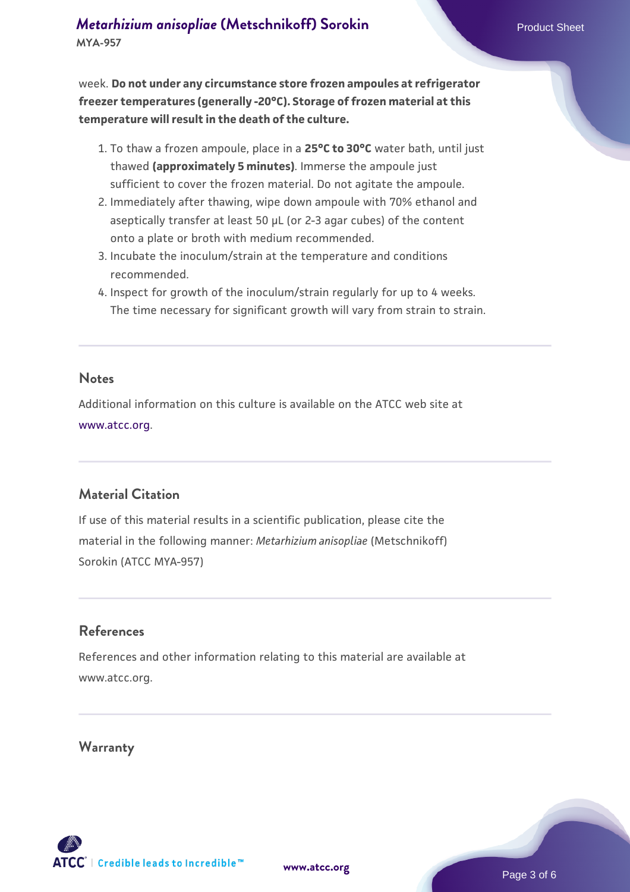week. **Do not under any circumstance store frozen ampoules at refrigerator freezer temperatures (generally -20°C). Storage of frozen material at this temperature will result in the death of the culture.**

- 1. To thaw a frozen ampoule, place in a **25°C to 30°C** water bath, until just thawed **(approximately 5 minutes)**. Immerse the ampoule just sufficient to cover the frozen material. Do not agitate the ampoule.
- 2. Immediately after thawing, wipe down ampoule with 70% ethanol and aseptically transfer at least 50 µL (or 2-3 agar cubes) of the content onto a plate or broth with medium recommended.
- Incubate the inoculum/strain at the temperature and conditions 3. recommended.
- 4. Inspect for growth of the inoculum/strain regularly for up to 4 weeks. The time necessary for significant growth will vary from strain to strain.

#### **Notes**

Additional information on this culture is available on the ATCC web site at [www.atcc.org.](http://www.atcc.org/)

## **Material Citation**

If use of this material results in a scientific publication, please cite the material in the following manner: *Metarhizium anisopliae* (Metschnikoff) Sorokin (ATCC MYA-957)

## **References**

References and other information relating to this material are available at www.atcc.org.

## **Warranty**

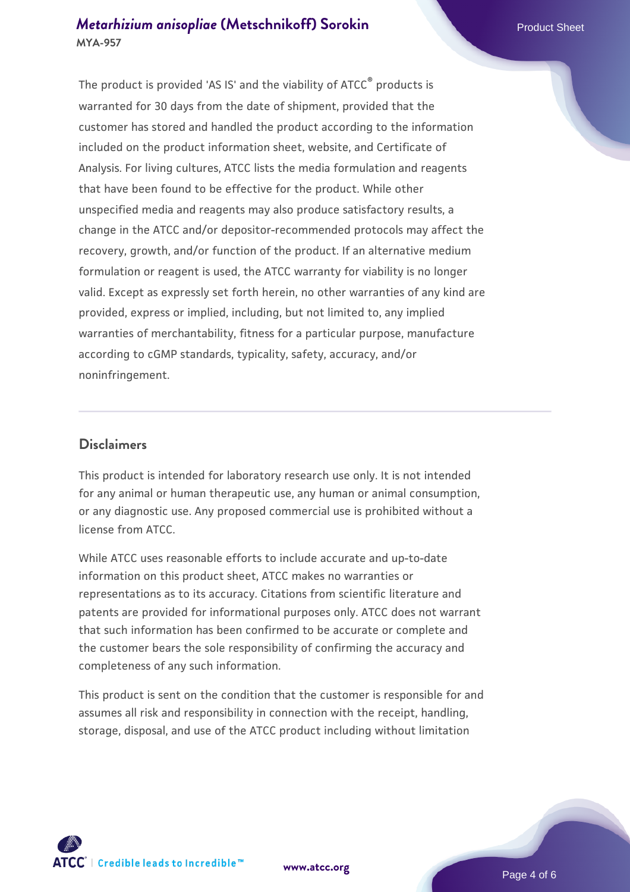## *[Metarhizium anisopliae](https://www.atcc.org/products/mya-957)* [\(Metschnikoff\) Sorokin](https://www.atcc.org/products/mya-957) **MYA-957**

The product is provided 'AS IS' and the viability of ATCC® products is warranted for 30 days from the date of shipment, provided that the customer has stored and handled the product according to the information included on the product information sheet, website, and Certificate of Analysis. For living cultures, ATCC lists the media formulation and reagents that have been found to be effective for the product. While other unspecified media and reagents may also produce satisfactory results, a change in the ATCC and/or depositor-recommended protocols may affect the recovery, growth, and/or function of the product. If an alternative medium formulation or reagent is used, the ATCC warranty for viability is no longer valid. Except as expressly set forth herein, no other warranties of any kind are provided, express or implied, including, but not limited to, any implied warranties of merchantability, fitness for a particular purpose, manufacture according to cGMP standards, typicality, safety, accuracy, and/or noninfringement.

#### **Disclaimers**

This product is intended for laboratory research use only. It is not intended for any animal or human therapeutic use, any human or animal consumption, or any diagnostic use. Any proposed commercial use is prohibited without a license from ATCC.

While ATCC uses reasonable efforts to include accurate and up-to-date information on this product sheet, ATCC makes no warranties or representations as to its accuracy. Citations from scientific literature and patents are provided for informational purposes only. ATCC does not warrant that such information has been confirmed to be accurate or complete and the customer bears the sole responsibility of confirming the accuracy and completeness of any such information.

This product is sent on the condition that the customer is responsible for and assumes all risk and responsibility in connection with the receipt, handling, storage, disposal, and use of the ATCC product including without limitation



**[www.atcc.org](http://www.atcc.org)**

Page 4 of 6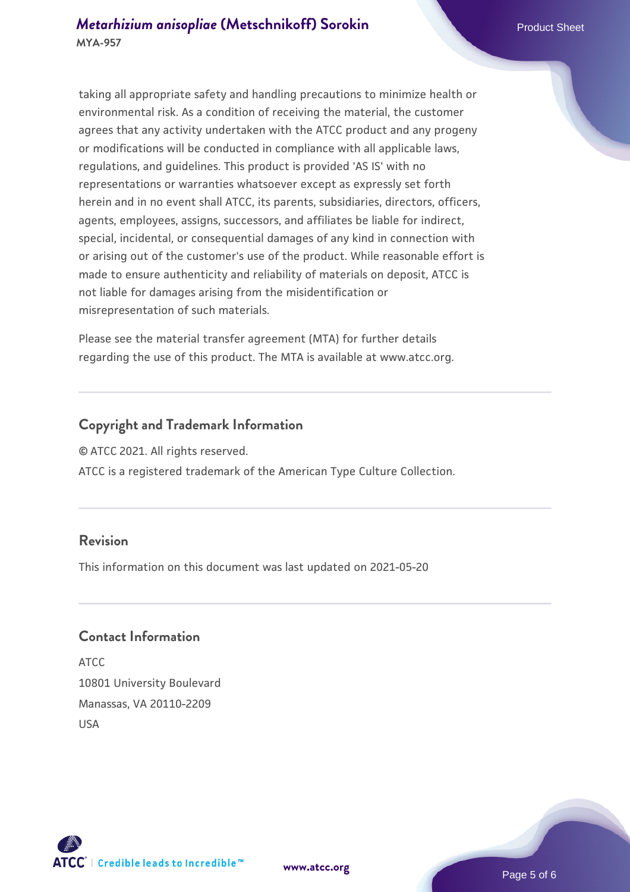## *[Metarhizium anisopliae](https://www.atcc.org/products/mya-957)* [\(Metschnikoff\) Sorokin](https://www.atcc.org/products/mya-957) **MYA-957**

taking all appropriate safety and handling precautions to minimize health or environmental risk. As a condition of receiving the material, the customer agrees that any activity undertaken with the ATCC product and any progeny or modifications will be conducted in compliance with all applicable laws, regulations, and guidelines. This product is provided 'AS IS' with no representations or warranties whatsoever except as expressly set forth herein and in no event shall ATCC, its parents, subsidiaries, directors, officers, agents, employees, assigns, successors, and affiliates be liable for indirect, special, incidental, or consequential damages of any kind in connection with or arising out of the customer's use of the product. While reasonable effort is made to ensure authenticity and reliability of materials on deposit, ATCC is not liable for damages arising from the misidentification or misrepresentation of such materials.

Please see the material transfer agreement (MTA) for further details regarding the use of this product. The MTA is available at www.atcc.org.

## **Copyright and Trademark Information**

© ATCC 2021. All rights reserved.

ATCC is a registered trademark of the American Type Culture Collection.

## **Revision**

This information on this document was last updated on 2021-05-20

## **Contact Information**

ATCC 10801 University Boulevard Manassas, VA 20110-2209 USA